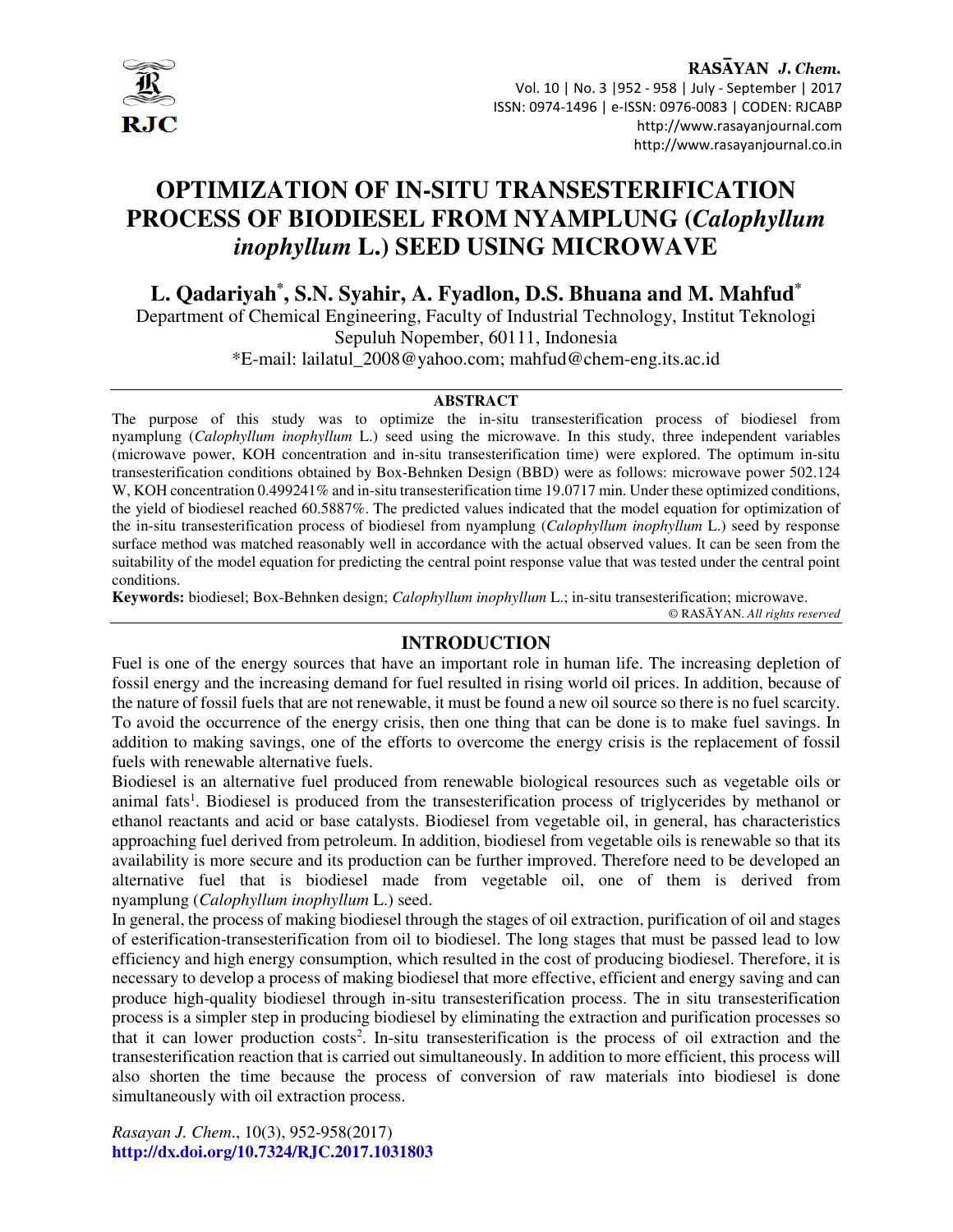

RASAYAN J. Chem. Vol. 10 | No. 3 |952 - 958 | July - September | 2017 ISSN: 0974-1496 | e-ISSN: 0976-0083 | CODEN: RJCABP http://www.rasayanjournal.com http://www.rasayanjournal.co.in

# **OPTIMIZATION OF IN-SITU TRANSESTERIFICATION PROCESS OF BIODIESEL FROM NYAMPLUNG (***Calophyllum inophyllum* **L.) SEED USING MICROWAVE**

**L. Qadariyah\* , S.N. Syahir, A. Fyadlon, D.S. Bhuana and M. Mahfud \***

Department of Chemical Engineering, Faculty of Industrial Technology, Institut Teknologi Sepuluh Nopember, 60111, Indonesia \*E-mail: lailatul\_2008@yahoo.com; mahfud@chem-eng.its.ac.id

#### **ABSTRACT**

The purpose of this study was to optimize the in-situ transesterification process of biodiesel from nyamplung (*Calophyllum inophyllum* L.) seed using the microwave. In this study, three independent variables (microwave power, KOH concentration and in-situ transesterification time) were explored. The optimum in-situ transesterification conditions obtained by Box-Behnken Design (BBD) were as follows: microwave power 502.124 W, KOH concentration 0.499241% and in-situ transesterification time 19.0717 min. Under these optimized conditions, the yield of biodiesel reached 60.5887%. The predicted values indicated that the model equation for optimization of the in-situ transesterification process of biodiesel from nyamplung (*Calophyllum inophyllum* L.) seed by response surface method was matched reasonably well in accordance with the actual observed values. It can be seen from the suitability of the model equation for predicting the central point response value that was tested under the central point conditions.

**Keywords:** biodiesel; Box-Behnken design; *Calophyllum inophyllum* L.; in-situ transesterification; microwave.

© RASĀYAN. *All rights reserved*

# **INTRODUCTION**

Fuel is one of the energy sources that have an important role in human life. The increasing depletion of fossil energy and the increasing demand for fuel resulted in rising world oil prices. In addition, because of the nature of fossil fuels that are not renewable, it must be found a new oil source so there is no fuel scarcity. To avoid the occurrence of the energy crisis, then one thing that can be done is to make fuel savings. In addition to making savings, one of the efforts to overcome the energy crisis is the replacement of fossil fuels with renewable alternative fuels.

Biodiesel is an alternative fuel produced from renewable biological resources such as vegetable oils or animal fats<sup>1</sup>. Biodiesel is produced from the transesterification process of triglycerides by methanol or ethanol reactants and acid or base catalysts. Biodiesel from vegetable oil, in general, has characteristics approaching fuel derived from petroleum. In addition, biodiesel from vegetable oils is renewable so that its availability is more secure and its production can be further improved. Therefore need to be developed an alternative fuel that is biodiesel made from vegetable oil, one of them is derived from nyamplung (*Calophyllum inophyllum* L.) seed.

In general, the process of making biodiesel through the stages of oil extraction, purification of oil and stages of esterification-transesterification from oil to biodiesel. The long stages that must be passed lead to low efficiency and high energy consumption, which resulted in the cost of producing biodiesel. Therefore, it is necessary to develop a process of making biodiesel that more effective, efficient and energy saving and can produce high-quality biodiesel through in-situ transesterification process. The in situ transesterification process is a simpler step in producing biodiesel by eliminating the extraction and purification processes so that it can lower production costs<sup>2</sup>. In-situ transesterification is the process of oil extraction and the transesterification reaction that is carried out simultaneously. In addition to more efficient, this process will also shorten the time because the process of conversion of raw materials into biodiesel is done simultaneously with oil extraction process.

*Rasayan J. Chem*., 10(3), 952-958(2017) **http://dx.doi.org/10.7324/RJC.2017.1031803**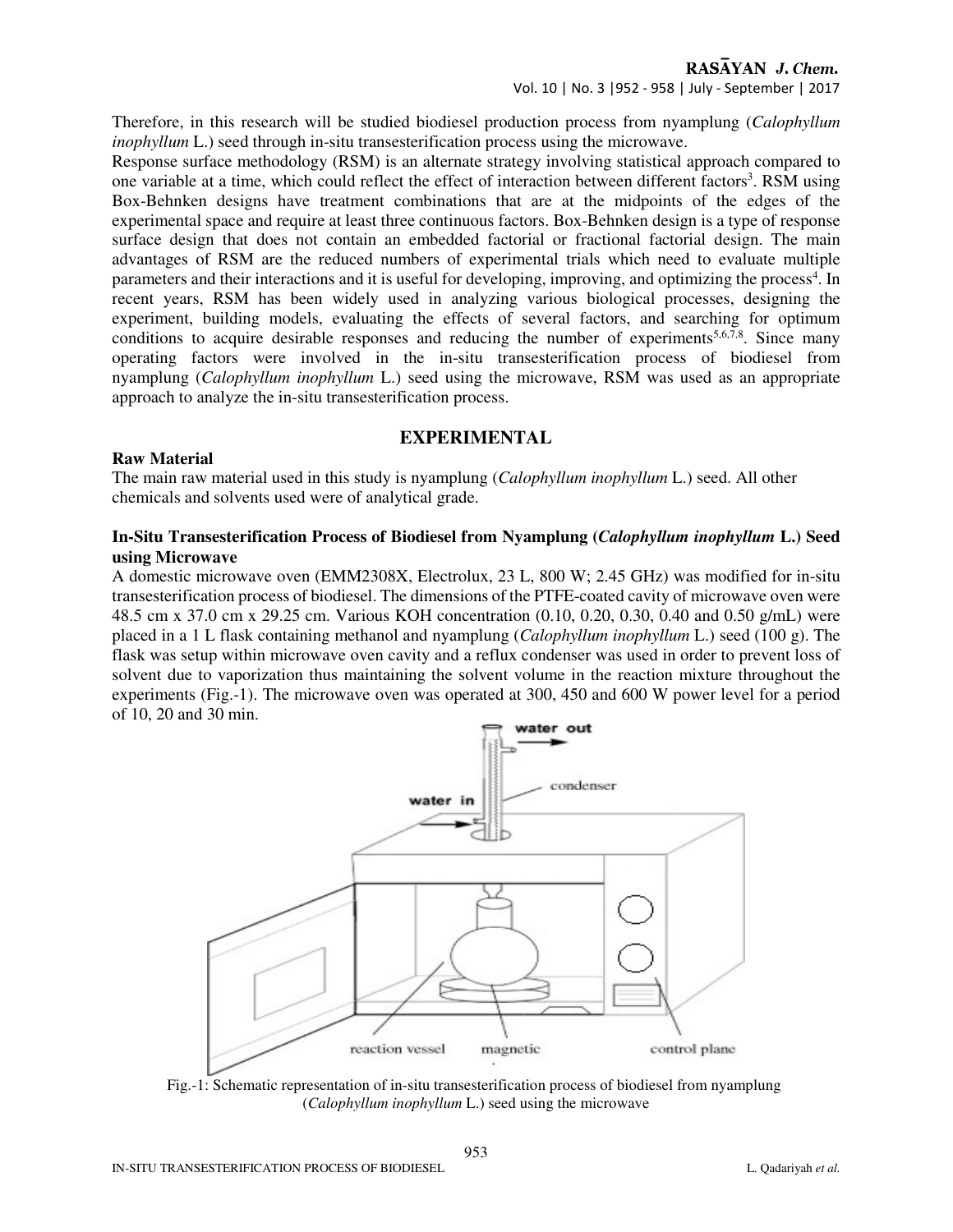Vol. 10 | No. 3 |952 - 958 | July - September | 2017

Therefore, in this research will be studied biodiesel production process from nyamplung (*Calophyllum inophyllum* L.) seed through in-situ transesterification process using the microwave.

Response surface methodology (RSM) is an alternate strategy involving statistical approach compared to one variable at a time, which could reflect the effect of interaction between different factors<sup>3</sup>. RSM using Box-Behnken designs have treatment combinations that are at the midpoints of the edges of the experimental space and require at least three continuous factors. Box-Behnken design is a type of response surface design that does not contain an embedded factorial or fractional factorial design. The main advantages of RSM are the reduced numbers of experimental trials which need to evaluate multiple parameters and their interactions and it is useful for developing, improving, and optimizing the process<sup>4</sup>. In recent years, RSM has been widely used in analyzing various biological processes, designing the experiment, building models, evaluating the effects of several factors, and searching for optimum conditions to acquire desirable responses and reducing the number of experiments<sup>5,6,7,8</sup>. Since many operating factors were involved in the in-situ transesterification process of biodiesel from nyamplung (*Calophyllum inophyllum* L.) seed using the microwave, RSM was used as an appropriate approach to analyze the in-situ transesterification process.

# **EXPERIMENTAL**

## **Raw Material**

The main raw material used in this study is nyamplung (*Calophyllum inophyllum* L.) seed. All other chemicals and solvents used were of analytical grade.

## **In-Situ Transesterification Process of Biodiesel from Nyamplung (***Calophyllum inophyllum* **L.) Seed using Microwave**

A domestic microwave oven (EMM2308X, Electrolux, 23 L, 800 W; 2.45 GHz) was modified for in-situ transesterification process of biodiesel. The dimensions of the PTFE-coated cavity of microwave oven were 48.5 cm x 37.0 cm x 29.25 cm. Various KOH concentration (0.10, 0.20, 0.30, 0.40 and 0.50 g/mL) were placed in a 1 L flask containing methanol and nyamplung (*Calophyllum inophyllum* L.) seed (100 g). The flask was setup within microwave oven cavity and a reflux condenser was used in order to prevent loss of solvent due to vaporization thus maintaining the solvent volume in the reaction mixture throughout the experiments (Fig.-1). The microwave oven was operated at 300, 450 and 600 W power level for a period of 10, 20 and 30 min.



Fig.-1: Schematic representation of in-situ transesterification process of biodiesel from nyamplung (*Calophyllum inophyllum* L.) seed using the microwave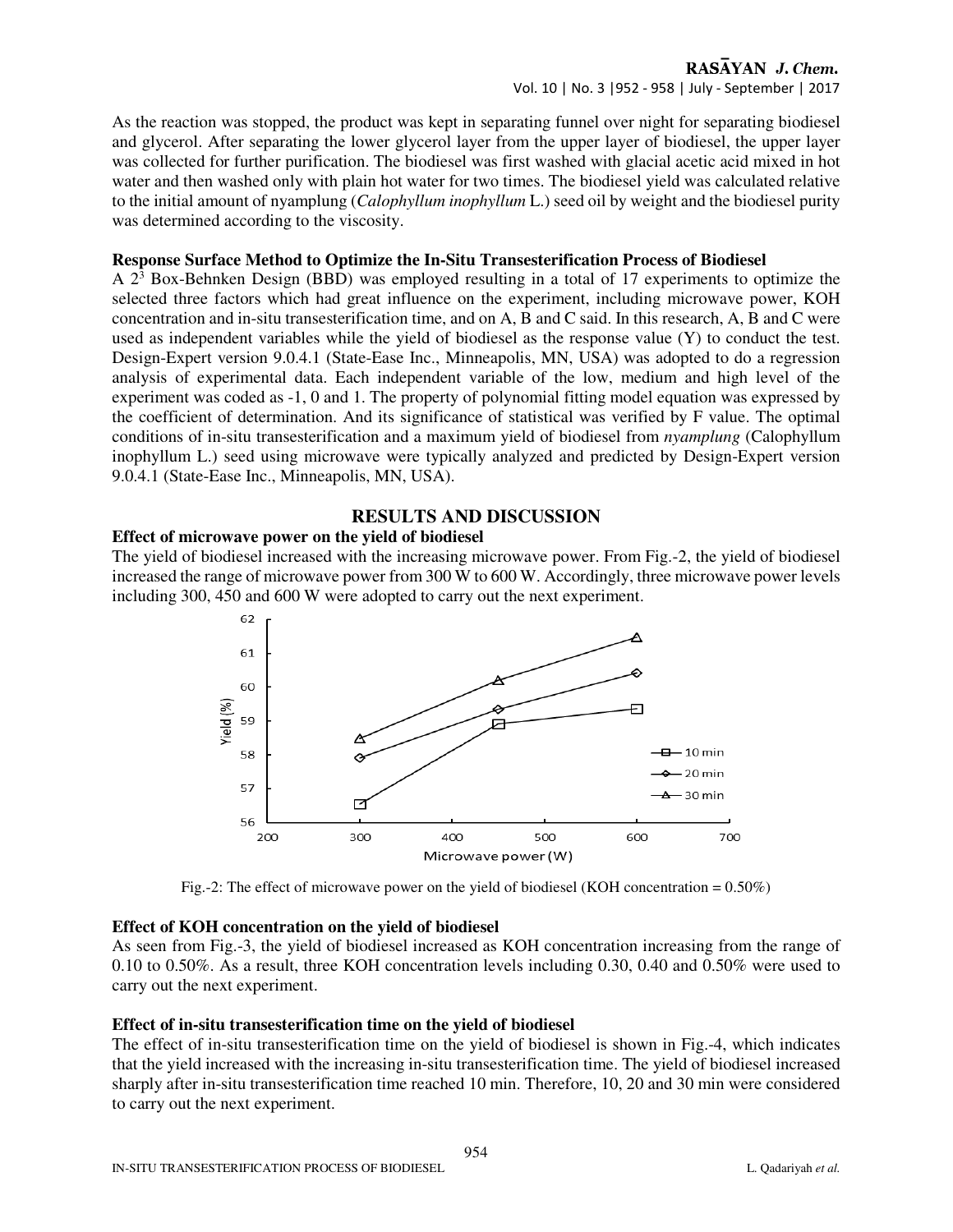Vol. 10 | No. 3 |952 - 958 | July - September | 2017

As the reaction was stopped, the product was kept in separating funnel over night for separating biodiesel and glycerol. After separating the lower glycerol layer from the upper layer of biodiesel, the upper layer was collected for further purification. The biodiesel was first washed with glacial acetic acid mixed in hot water and then washed only with plain hot water for two times. The biodiesel yield was calculated relative to the initial amount of nyamplung (*Calophyllum inophyllum* L.) seed oil by weight and the biodiesel purity was determined according to the viscosity.

## **Response Surface Method to Optimize the In-Situ Transesterification Process of Biodiesel**

A 2<sup>3</sup> Box-Behnken Design (BBD) was employed resulting in a total of 17 experiments to optimize the selected three factors which had great influence on the experiment, including microwave power, KOH concentration and in-situ transesterification time, and on A, B and C said. In this research, A, B and C were used as independent variables while the yield of biodiesel as the response value (Y) to conduct the test. Design-Expert version 9.0.4.1 (State-Ease Inc., Minneapolis, MN, USA) was adopted to do a regression analysis of experimental data. Each independent variable of the low, medium and high level of the experiment was coded as -1, 0 and 1. The property of polynomial fitting model equation was expressed by the coefficient of determination. And its significance of statistical was verified by F value. The optimal conditions of in-situ transesterification and a maximum yield of biodiesel from *nyamplung* (Calophyllum inophyllum L.) seed using microwave were typically analyzed and predicted by Design-Expert version 9.0.4.1 (State-Ease Inc., Minneapolis, MN, USA).

# **RESULTS AND DISCUSSION**

# **Effect of microwave power on the yield of biodiesel**

The yield of biodiesel increased with the increasing microwave power. From Fig.-2, the yield of biodiesel increased the range of microwave power from 300 W to 600 W. Accordingly, three microwave power levels including 300, 450 and 600 W were adopted to carry out the next experiment.



Fig.-2: The effect of microwave power on the yield of biodiesel (KOH concentration =  $0.50\%$ )

#### **Effect of KOH concentration on the yield of biodiesel**

As seen from Fig.-3, the yield of biodiesel increased as KOH concentration increasing from the range of 0.10 to 0.50%. As a result, three KOH concentration levels including 0.30, 0.40 and 0.50% were used to carry out the next experiment.

# **Effect of in-situ transesterification time on the yield of biodiesel**

The effect of in-situ transesterification time on the yield of biodiesel is shown in Fig.-4, which indicates that the yield increased with the increasing in-situ transesterification time. The yield of biodiesel increased sharply after in-situ transesterification time reached 10 min. Therefore, 10, 20 and 30 min were considered to carry out the next experiment.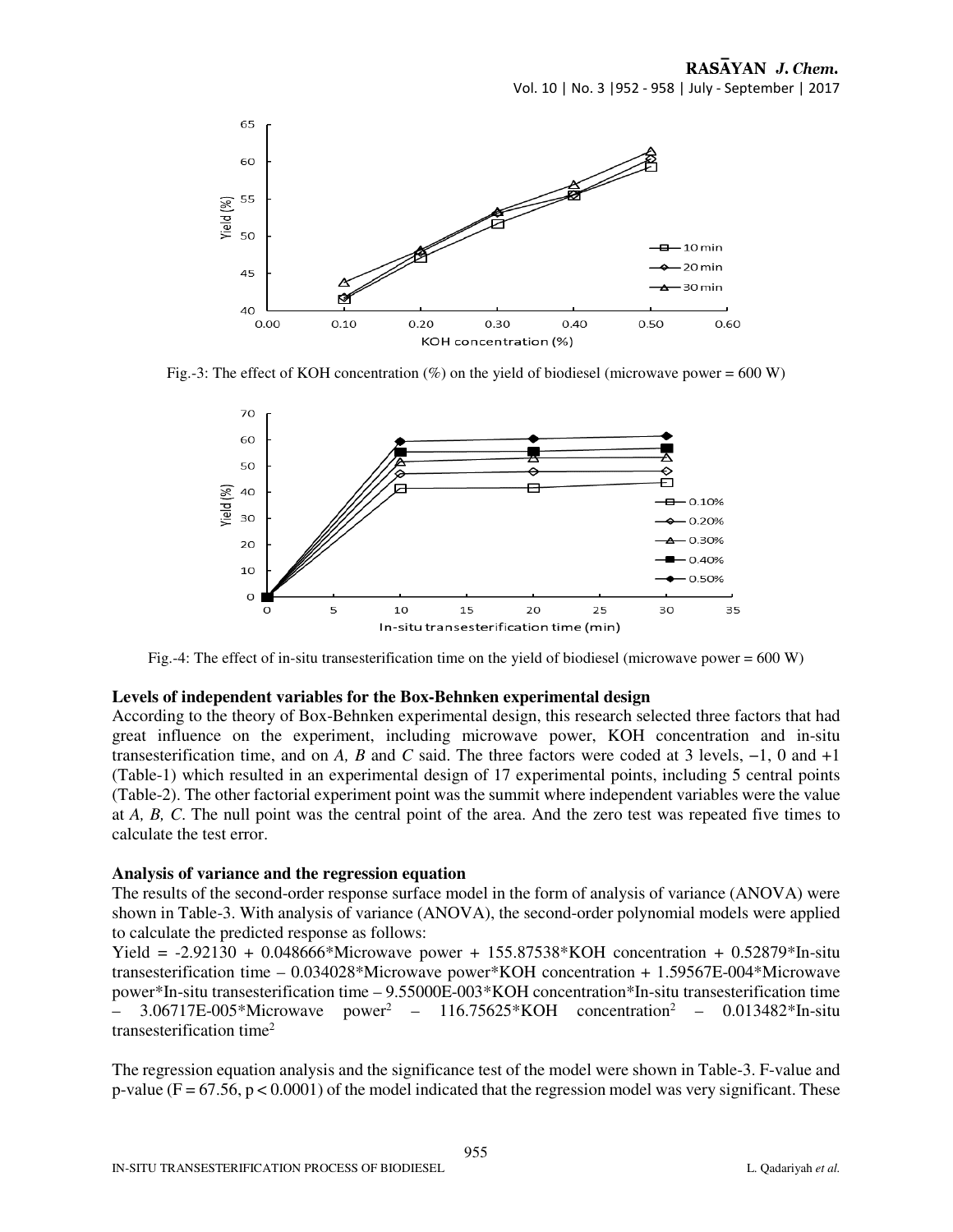

Fig.-3: The effect of KOH concentration  $(\%)$  on the yield of biodiesel (microwave power = 600 W)



Fig.-4: The effect of in-situ transesterification time on the yield of biodiesel (microwave power =  $600 W$ )

#### **Levels of independent variables for the Box-Behnken experimental design**

According to the theory of Box-Behnken experimental design, this research selected three factors that had great influence on the experiment, including microwave power, KOH concentration and in-situ transesterification time, and on *A, B* and *C* said. The three factors were coded at 3 levels, −1, 0 and +1 (Table-1) which resulted in an experimental design of 17 experimental points, including 5 central points (Table-2). The other factorial experiment point was the summit where independent variables were the value at *A, B, C*. The null point was the central point of the area. And the zero test was repeated five times to calculate the test error.

#### **Analysis of variance and the regression equation**

The results of the second-order response surface model in the form of analysis of variance (ANOVA) were shown in Table-3. With analysis of variance (ANOVA), the second-order polynomial models were applied to calculate the predicted response as follows:

Yield =  $-2.92130 + 0.048666*$  Microwave power + 155.87538\* KOH concentration + 0.52879\* In-situ transesterification time – 0.034028\*Microwave power\*KOH concentration + 1.59567E-004\*Microwave power\*In-situ transesterification time – 9.55000E-003\*KOH concentration\*In-situ transesterification time  $-$  3.06717E-005\*Microwave power<sup>2</sup> – 116.75625\*KOH concentration<sup>2</sup> – 0.013482\*In-situ transesterification time<sup>2</sup>

The regression equation analysis and the significance test of the model were shown in Table-3. F-value and p-value ( $F = 67.56$ ,  $p < 0.0001$ ) of the model indicated that the regression model was very significant. These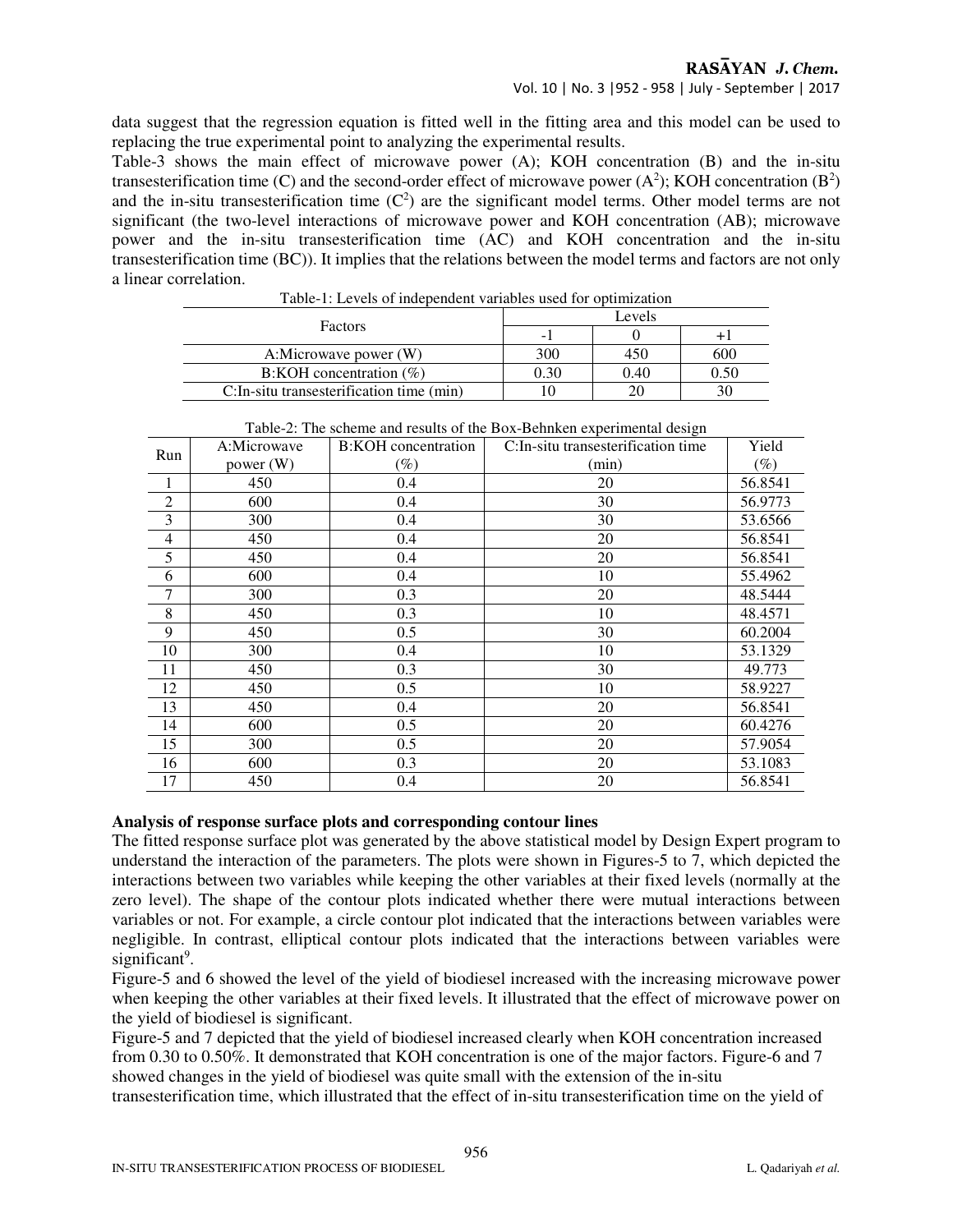data suggest that the regression equation is fitted well in the fitting area and this model can be used to replacing the true experimental point to analyzing the experimental results.

Table-3 shows the main effect of microwave power (A); KOH concentration (B) and the in-situ transesterification time (C) and the second-order effect of microwave power  $(A^2)$ ; KOH concentration  $(B^2)$ and the in-situ transesterification time  $(C^2)$  are the significant model terms. Other model terms are not significant (the two-level interactions of microwave power and KOH concentration (AB); microwave power and the in-situ transesterification time (AC) and KOH concentration and the in-situ transesterification time (BC)). It implies that the relations between the model terms and factors are not only a linear correlation.

| Table-T. Levels of independent variables used for obtimization |        |      |      |  |  |
|----------------------------------------------------------------|--------|------|------|--|--|
| <b>Factors</b>                                                 | Levels |      |      |  |  |
|                                                                | -      |      |      |  |  |
| A:Microwave power (W)                                          | 300    | 450  | 600  |  |  |
| $B: KOH$ concentration $(\%)$                                  | 0.30   | 0.40 | 0.50 |  |  |
| C: In-situ transesterification time (min)                      |        | 20   |      |  |  |

Table-1: Levels of independent variables used for optimization

| T able-2. The scheme and results of the DOA-Definitent experimental design |             |                            |                                     |         |  |  |  |
|----------------------------------------------------------------------------|-------------|----------------------------|-------------------------------------|---------|--|--|--|
| Run                                                                        | A:Microwave | <b>B:KOH</b> concentration | C: In-situ transesterification time | Yield   |  |  |  |
|                                                                            | power $(W)$ | $(\%)$                     | (min)                               | (%)     |  |  |  |
| $\mathbf{1}$                                                               | 450         | 0.4                        | 20                                  | 56.8541 |  |  |  |
| $\boldsymbol{2}$                                                           | 600         | 0.4                        | 30                                  | 56.9773 |  |  |  |
| 3                                                                          | 300         | 0.4                        | 30                                  | 53.6566 |  |  |  |
| $\overline{4}$                                                             | 450         | 0.4                        | 20                                  | 56.8541 |  |  |  |
| 5                                                                          | 450         | 0.4                        | 20                                  | 56.8541 |  |  |  |
| 6                                                                          | 600         | 0.4                        | 10                                  | 55.4962 |  |  |  |
| 7                                                                          | 300         | 0.3                        | 20                                  | 48.5444 |  |  |  |
| $\,8\,$                                                                    | 450         | 0.3                        | 10                                  | 48.4571 |  |  |  |
| 9                                                                          | 450         | 0.5                        | 30                                  | 60.2004 |  |  |  |
| 10                                                                         | 300         | 0.4                        | 10                                  | 53.1329 |  |  |  |
| 11                                                                         | 450         | 0.3                        | 30                                  | 49.773  |  |  |  |
| 12                                                                         | 450         | 0.5                        | 10                                  | 58.9227 |  |  |  |
| 13                                                                         | 450         | 0.4                        | 20                                  | 56.8541 |  |  |  |
| 14                                                                         | 600         | 0.5                        | 20                                  | 60.4276 |  |  |  |
| 15                                                                         | 300         | 0.5                        | 20                                  | 57.9054 |  |  |  |
| 16                                                                         | 600         | 0.3                        | 20                                  | 53.1083 |  |  |  |
| 17                                                                         | 450         | 0.4                        | 20                                  | 56.8541 |  |  |  |

Table-2: The scheme and results of the Box-Behnken experimental design

#### **Analysis of response surface plots and corresponding contour lines**

The fitted response surface plot was generated by the above statistical model by Design Expert program to understand the interaction of the parameters. The plots were shown in Figures-5 to 7, which depicted the interactions between two variables while keeping the other variables at their fixed levels (normally at the zero level). The shape of the contour plots indicated whether there were mutual interactions between variables or not. For example, a circle contour plot indicated that the interactions between variables were negligible. In contrast, elliptical contour plots indicated that the interactions between variables were significant<sup>9</sup>.

Figure-5 and 6 showed the level of the yield of biodiesel increased with the increasing microwave power when keeping the other variables at their fixed levels. It illustrated that the effect of microwave power on the yield of biodiesel is significant.

Figure-5 and 7 depicted that the yield of biodiesel increased clearly when KOH concentration increased from 0.30 to 0.50%. It demonstrated that KOH concentration is one of the major factors. Figure-6 and 7 showed changes in the yield of biodiesel was quite small with the extension of the in-situ

transesterification time, which illustrated that the effect of in-situ transesterification time on the yield of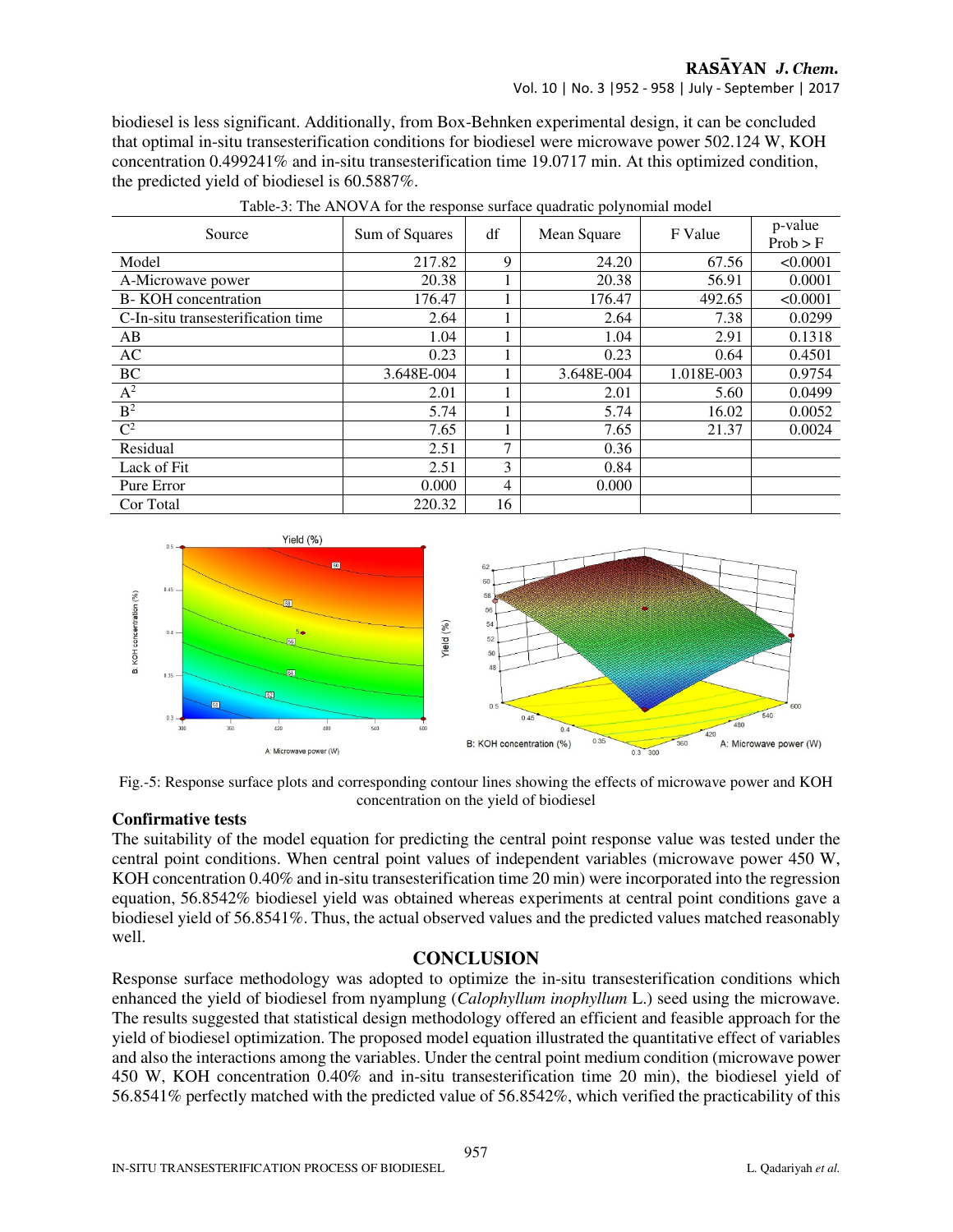Vol. 10 | No. 3 |952 - 958 | July - September | 2017

biodiesel is less significant. Additionally, from Box-Behnken experimental design, it can be concluded that optimal in-situ transesterification conditions for biodiesel were microwave power 502.124 W, KOH concentration 0.499241% and in-situ transesterification time 19.0717 min. At this optimized condition, the predicted yield of biodiesel is 60.5887%.

| Source                             | Sum of Squares | df | Mean Square | F Value    | p-value<br>Prob > F |
|------------------------------------|----------------|----|-------------|------------|---------------------|
| Model                              | 217.82         | 9  | 24.20       | 67.56      | < 0.0001            |
| A-Microwave power                  | 20.38          |    | 20.38       | 56.91      | 0.0001              |
| B- KOH concentration               | 176.47         |    | 176.47      | 492.65     | < 0.0001            |
| C-In-situ transesterification time | 2.64           |    | 2.64        | 7.38       | 0.0299              |
| AB                                 | 1.04           |    | 1.04        | 2.91       | 0.1318              |
| AC                                 | 0.23           |    | 0.23        | 0.64       | 0.4501              |
| BC                                 | 3.648E-004     |    | 3.648E-004  | 1.018E-003 | 0.9754              |
| $A^2$                              | 2.01           |    | 2.01        | 5.60       | 0.0499              |
| B <sup>2</sup>                     | 5.74           |    | 5.74        | 16.02      | 0.0052              |
| $\mathbb{C}^2$                     | 7.65           |    | 7.65        | 21.37      | 0.0024              |
| Residual                           | 2.51           | 7  | 0.36        |            |                     |
| Lack of Fit                        | 2.51           | 3  | 0.84        |            |                     |
| Pure Error                         | 0.000          | 4  | 0.000       |            |                     |
| Cor Total                          | 220.32         | 16 |             |            |                     |

Table-3: The ANOVA for the response surface quadratic polynomial model





# **Confirmative tests**

The suitability of the model equation for predicting the central point response value was tested under the central point conditions. When central point values of independent variables (microwave power 450 W, KOH concentration 0.40% and in-situ transesterification time 20 min) were incorporated into the regression equation, 56.8542% biodiesel yield was obtained whereas experiments at central point conditions gave a biodiesel yield of 56.8541%. Thus, the actual observed values and the predicted values matched reasonably well.

# **CONCLUSION**

Response surface methodology was adopted to optimize the in-situ transesterification conditions which enhanced the yield of biodiesel from nyamplung (*Calophyllum inophyllum* L.) seed using the microwave. The results suggested that statistical design methodology offered an efficient and feasible approach for the yield of biodiesel optimization. The proposed model equation illustrated the quantitative effect of variables and also the interactions among the variables. Under the central point medium condition (microwave power 450 W, KOH concentration 0.40% and in-situ transesterification time 20 min), the biodiesel yield of 56.8541% perfectly matched with the predicted value of 56.8542%, which verified the practicability of this